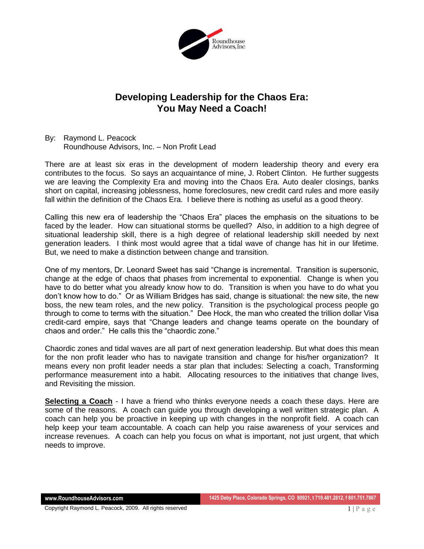

## **Developing Leadership for the Chaos Era: You May Need a Coach!**

By: Raymond L. Peacock Roundhouse Advisors, Inc. – Non Profit Lead

There are at least six eras in the development of modern leadership theory and every era contributes to the focus. So says an acquaintance of mine, J. Robert Clinton. He further suggests we are leaving the Complexity Era and moving into the Chaos Era. Auto dealer closings, banks short on capital, increasing joblessness, home foreclosures, new credit card rules and more easily fall within the definition of the Chaos Era. I believe there is nothing as useful as a good theory.

Calling this new era of leadership the "Chaos Era" places the emphasis on the situations to be faced by the leader. How can situational storms be quelled? Also, in addition to a high degree of situational leadership skill, there is a high degree of relational leadership skill needed by next generation leaders. I think most would agree that a tidal wave of change has hit in our lifetime. But, we need to make a distinction between change and transition.

One of my mentors, Dr. Leonard Sweet has said "Change is incremental. Transition is supersonic, change at the edge of chaos that phases from incremental to exponential. Change is when you have to do better what you already know how to do. Transition is when you have to do what you don't know how to do." Or as William Bridges has said, change is situational: the new site, the new boss, the new team roles, and the new policy. Transition is the psychological process people go through to come to terms with the situation." Dee Hock, the man who created the trillion dollar Visa credit-card empire, says that "Change leaders and change teams operate on the boundary of chaos and order." He calls this the "chaordic zone."

Chaordic zones and tidal waves are all part of next generation leadership. But what does this mean for the non profit leader who has to navigate transition and change for his/her organization? It means every non profit leader needs a star plan that includes: Selecting a coach, Transforming performance measurement into a habit. Allocating resources to the initiatives that change lives, and Revisiting the mission.

**Selecting a Coach** - I have a friend who thinks everyone needs a coach these days. Here are some of the reasons. A coach can guide you through developing a well written strategic plan. A coach can help you be proactive in keeping up with changes in the nonprofit field. A coach can help keep your team accountable. A coach can help you raise awareness of your services and increase revenues. A coach can help you focus on what is important, not just urgent, that which needs to improve.